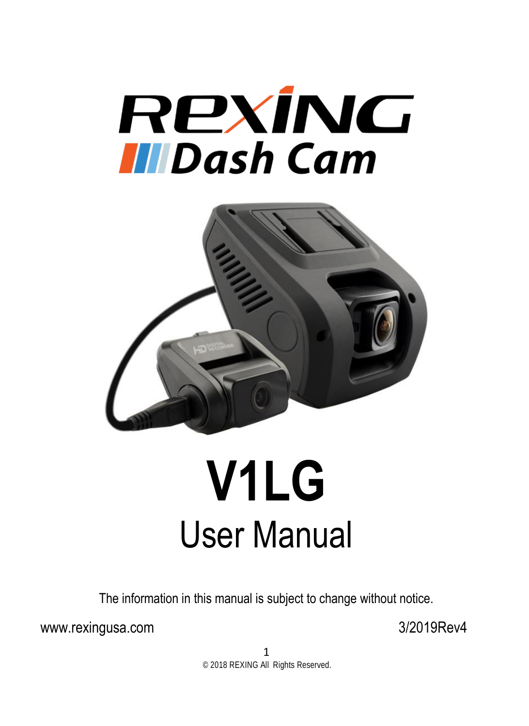



# **V1LG** User Manual

The information in this manual is subject to change without notice.

www.rexingusa.com 3/2019Rev4

1 © 2018 REXING All Rights Reserved.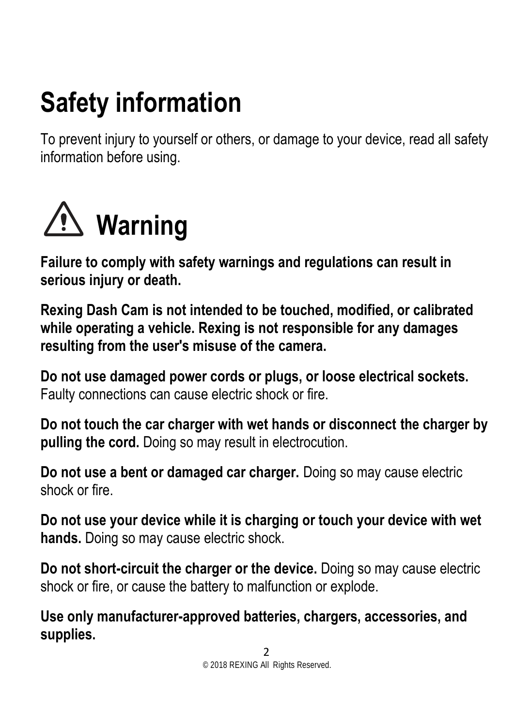# **Safety information**

To prevent injury to yourself or others, or damage to your device, read all safety information before using.



**Failure to comply with safety warnings and regulations can result in serious injury or death.**

**Rexing Dash Cam is not intended to be touched, modified, or calibrated while operating a vehicle. Rexing is not responsible for any damages resulting from the user's misuse of the camera.**

**Do not use damaged power cords or plugs, or loose electrical sockets.** Faulty connections can cause electric shock or fire.

**Do not touch the car charger with wet hands or disconnect the charger by pulling the cord.** Doing so may result in electrocution.

**Do not use a bent or damaged car charger.** Doing so may cause electric shock or fire.

**Do not use your device while it is charging or touch your device with wet hands.** Doing so may cause electric shock.

**Do not short-circuit the charger or the device.** Doing so may cause electric shock or fire, or cause the battery to malfunction or explode.

**Use only manufacturer-approved batteries, chargers, accessories, and supplies.**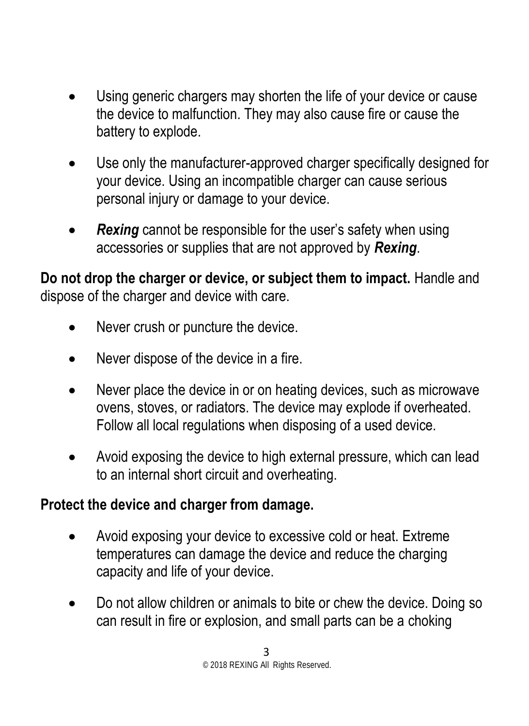- Using generic chargers may shorten the life of your device or cause the device to malfunction. They may also cause fire or cause the battery to explode.
- Use only the manufacturer-approved charger specifically designed for your device. Using an incompatible charger can cause serious personal injury or damage to your device.
- *Rexing* cannot be responsible for the user's safety when using accessories or supplies that are not approved by *Rexing*.

**Do not drop the charger or device, or subject them to impact.** Handle and dispose of the charger and device with care.

- Never crush or puncture the device.
- Never dispose of the device in a fire.
- Never place the device in or on heating devices, such as microwave ovens, stoves, or radiators. The device may explode if overheated. Follow all local regulations when disposing of a used device.
- Avoid exposing the device to high external pressure, which can lead to an internal short circuit and overheating.

#### **Protect the device and charger from damage.**

- Avoid exposing your device to excessive cold or heat. Extreme temperatures can damage the device and reduce the charging capacity and life of your device.
- Do not allow children or animals to bite or chew the device. Doing so can result in fire or explosion, and small parts can be a choking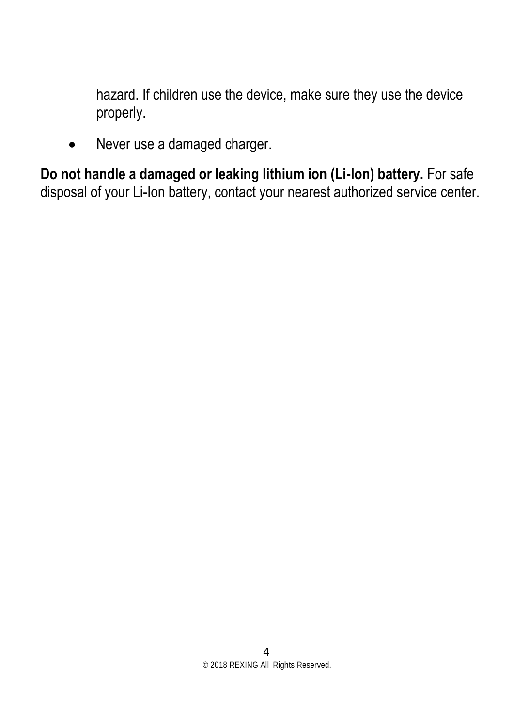hazard. If children use the device, make sure they use the device properly.

• Never use a damaged charger.

**Do not handle a damaged or leaking lithium ion (Li-Ion) battery.** For safe disposal of your Li-Ion battery, contact your nearest authorized service center.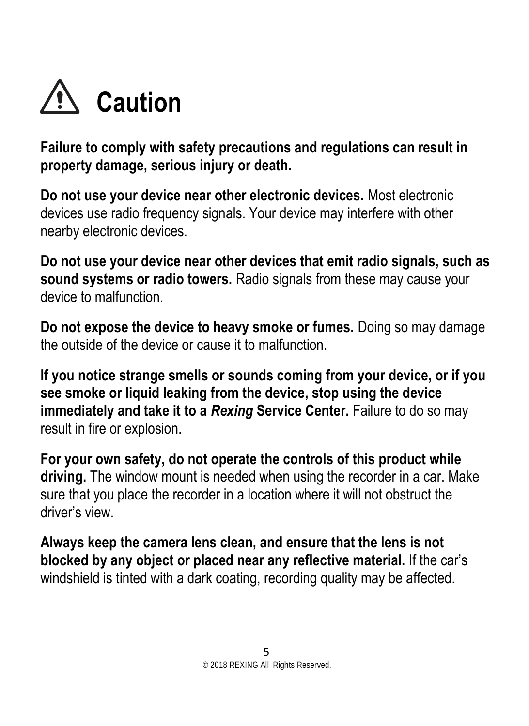

**Failure to comply with safety precautions and regulations can result in property damage, serious injury or death.**

**Do not use your device near other electronic devices.** Most electronic devices use radio frequency signals. Your device may interfere with other nearby electronic devices.

**Do not use your device near other devices that emit radio signals, such as sound systems or radio towers.** Radio signals from these may cause your device to malfunction.

**Do not expose the device to heavy smoke or fumes.** Doing so may damage the outside of the device or cause it to malfunction.

**If you notice strange smells or sounds coming from your device, or if you see smoke or liquid leaking from the device, stop using the device immediately and take it to a** *Rexing* **Service Center.** Failure to do so may result in fire or explosion.

**For your own safety, do not operate the controls of this product while driving.** The window mount is needed when using the recorder in a car. Make sure that you place the recorder in a location where it will not obstruct the driver's view.

**Always keep the camera lens clean, and ensure that the lens is not blocked by any object or placed near any reflective material.** If the car's windshield is tinted with a dark coating, recording quality may be affected.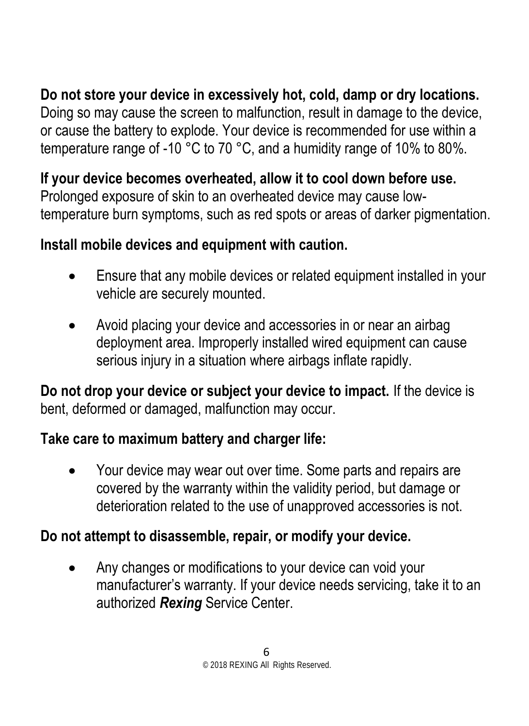**Do not store your device in excessively hot, cold, damp or dry locations.**

Doing so may cause the screen to malfunction, result in damage to the device, or cause the battery to explode. Your device is recommended for use within a temperature range of -10 °C to 70 °C, and a humidity range of 10% to 80%.

**If your device becomes overheated, allow it to cool down before use.**  Prolonged exposure of skin to an overheated device may cause lowtemperature burn symptoms, such as red spots or areas of darker pigmentation.

#### **Install mobile devices and equipment with caution.**

- Ensure that any mobile devices or related equipment installed in your vehicle are securely mounted.
- Avoid placing your device and accessories in or near an airbag deployment area. Improperly installed wired equipment can cause serious injury in a situation where airbags inflate rapidly.

**Do not drop your device or subject your device to impact.** If the device is bent, deformed or damaged, malfunction may occur.

#### **Take care to maximum battery and charger life:**

• Your device may wear out over time. Some parts and repairs are covered by the warranty within the validity period, but damage or deterioration related to the use of unapproved accessories is not.

#### **Do not attempt to disassemble, repair, or modify your device.**

• Any changes or modifications to your device can void your manufacturer's warranty. If your device needs servicing, take it to an authorized *Rexing* Service Center.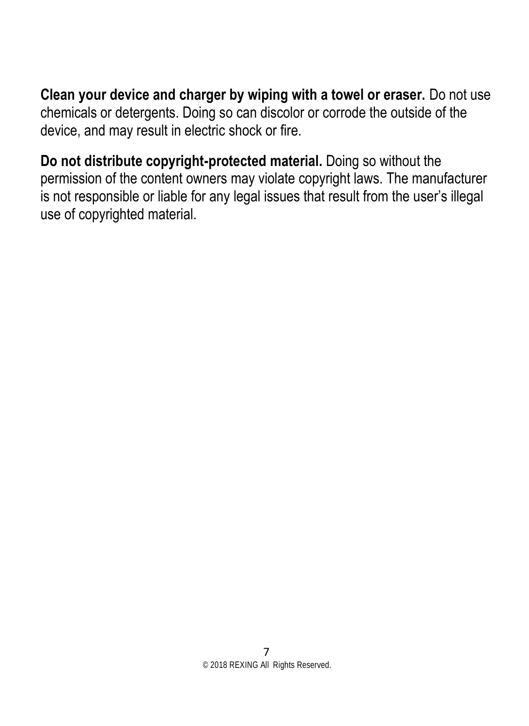**Clean your device and charger by wiping with a towel or eraser.** Do not use chemicals or detergents. Doing so can discolor or corrode the outside of the device, and may result in electric shock or fire.

**Do not distribute copyright-protected material.** Doing so without the permission of the content owners may violate copyright laws. The manufacturer is not responsible or liable for any legal issues that result from the user's illegal use of copyrighted material.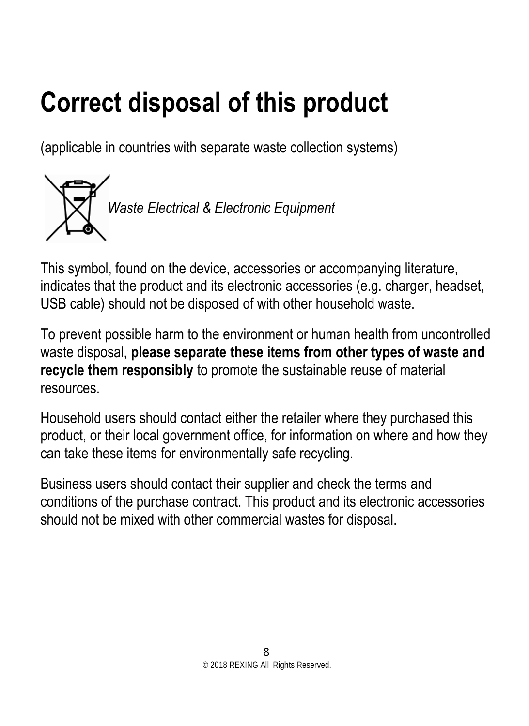# **Correct disposal of this product**

(applicable in countries with separate waste collection systems)



This symbol, found on the device, accessories or accompanying literature, indicates that the product and its electronic accessories (e.g. charger, headset, USB cable) should not be disposed of with other household waste.

To prevent possible harm to the environment or human health from uncontrolled waste disposal, **please separate these items from other types of waste and recycle them responsibly** to promote the sustainable reuse of material resources.

Household users should contact either the retailer where they purchased this product, or their local government office, for information on where and how they can take these items for environmentally safe recycling.

Business users should contact their supplier and check the terms and conditions of the purchase contract. This product and its electronic accessories should not be mixed with other commercial wastes for disposal.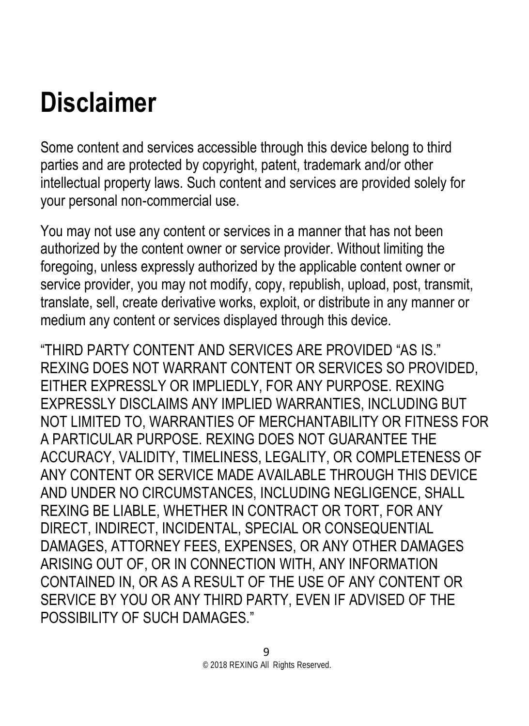# **Disclaimer**

Some content and services accessible through this device belong to third parties and are protected by copyright, patent, trademark and/or other intellectual property laws. Such content and services are provided solely for your personal non-commercial use.

You may not use any content or services in a manner that has not been authorized by the content owner or service provider. Without limiting the foregoing, unless expressly authorized by the applicable content owner or service provider, you may not modify, copy, republish, upload, post, transmit, translate, sell, create derivative works, exploit, or distribute in any manner or medium any content or services displayed through this device.

"THIRD PARTY CONTENT AND SERVICES ARE PROVIDED "AS IS." REXING DOES NOT WARRANT CONTENT OR SERVICES SO PROVIDED, EITHER EXPRESSLY OR IMPLIEDLY, FOR ANY PURPOSE. REXING EXPRESSLY DISCLAIMS ANY IMPLIED WARRANTIES, INCLUDING BUT NOT LIMITED TO, WARRANTIES OF MERCHANTABILITY OR FITNESS FOR A PARTICULAR PURPOSE. REXING DOES NOT GUARANTEE THE ACCURACY, VALIDITY, TIMELINESS, LEGALITY, OR COMPLETENESS OF ANY CONTENT OR SERVICE MADE AVAILABLE THROUGH THIS DEVICE AND UNDER NO CIRCUMSTANCES, INCLUDING NEGLIGENCE, SHALL REXING BE LIABLE, WHETHER IN CONTRACT OR TORT, FOR ANY DIRECT, INDIRECT, INCIDENTAL, SPECIAL OR CONSEQUENTIAL DAMAGES, ATTORNEY FEES, EXPENSES, OR ANY OTHER DAMAGES ARISING OUT OF, OR IN CONNECTION WITH, ANY INFORMATION CONTAINED IN, OR AS A RESULT OF THE USE OF ANY CONTENT OR SERVICE BY YOU OR ANY THIRD PARTY, EVEN IF ADVISED OF THE POSSIBILITY OF SUCH DAMAGES."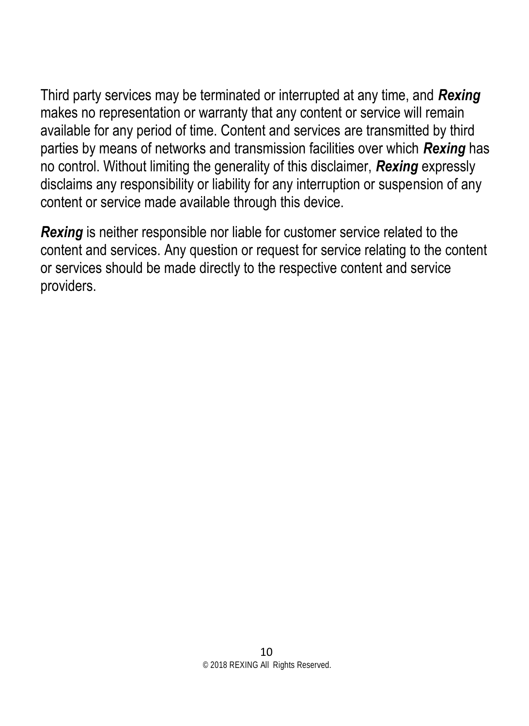Third party services may be terminated or interrupted at any time, and *Rexing* makes no representation or warranty that any content or service will remain available for any period of time. Content and services are transmitted by third parties by means of networks and transmission facilities over which *Rexing* has no control. Without limiting the generality of this disclaimer, *Rexing* expressly disclaims any responsibility or liability for any interruption or suspension of any content or service made available through this device.

*Rexing* is neither responsible nor liable for customer service related to the content and services. Any question or request for service relating to the content or services should be made directly to the respective content and service providers.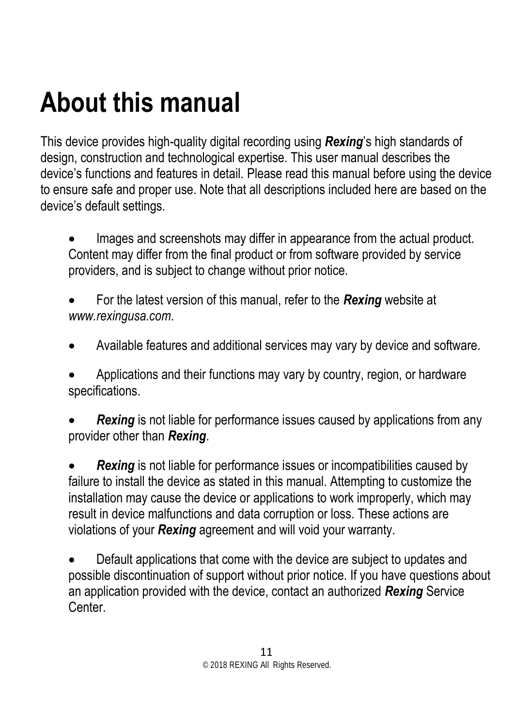# **About this manual**

This device provides high-quality digital recording using *Rexing*'s high standards of design, construction and technological expertise. This user manual describes the device's functions and features in detail. Please read this manual before using the device to ensure safe and proper use. Note that all descriptions included here are based on the device's default settings.

Images and screenshots may differ in appearance from the actual product. Content may differ from the final product or from software provided by service providers, and is subject to change without prior notice.

- For the latest version of this manual, refer to the *Rexing* website at *www.rexingusa.com*.
- Available features and additional services may vary by device and software.

• Applications and their functions may vary by country, region, or hardware specifications.

**Rexing** is not liable for performance issues caused by applications from any provider other than *Rexing*.

**Rexing** is not liable for performance issues or incompatibilities caused by failure to install the device as stated in this manual. Attempting to customize the installation may cause the device or applications to work improperly, which may result in device malfunctions and data corruption or loss. These actions are violations of your *Rexing* agreement and will void your warranty.

• Default applications that come with the device are subject to updates and possible discontinuation of support without prior notice. If you have questions about an application provided with the device, contact an authorized *Rexing* Service Center.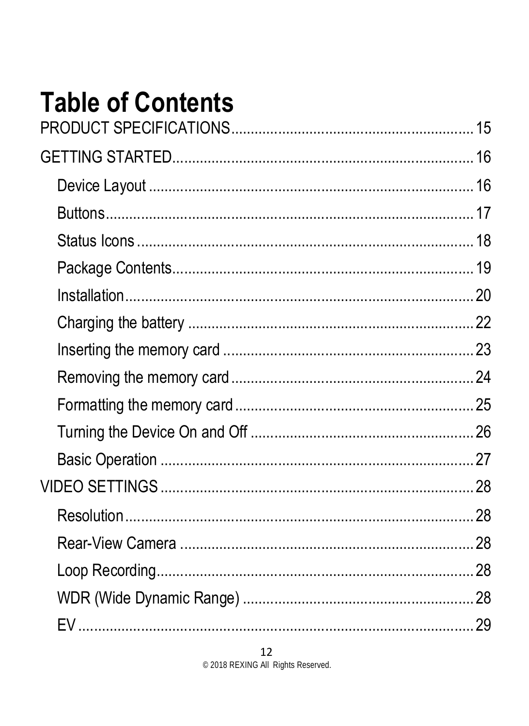# **Table of Contents**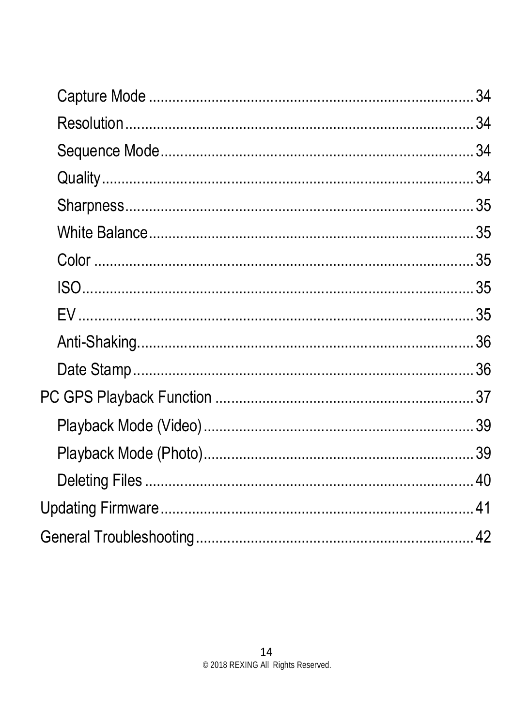| 34 |
|----|
|    |
|    |
|    |
|    |
|    |
|    |
|    |
|    |
|    |
|    |
|    |
|    |
|    |
|    |
|    |
|    |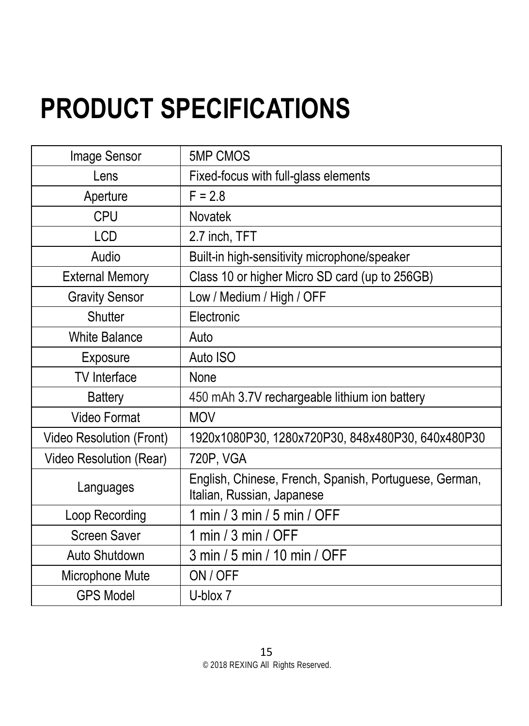# <span id="page-14-1"></span><span id="page-14-0"></span>**PRODUCT SPECIFICATIONS**

| Image Sensor             | <b>5MP CMOS</b>                                                                      |
|--------------------------|--------------------------------------------------------------------------------------|
| Lens                     | Fixed-focus with full-glass elements                                                 |
| Aperture                 | $F = 2.8$                                                                            |
| CPU                      | <b>Novatek</b>                                                                       |
| <b>LCD</b>               | 2.7 inch, TFT                                                                        |
| Audio                    | Built-in high-sensitivity microphone/speaker                                         |
| <b>External Memory</b>   | Class 10 or higher Micro SD card (up to 256GB)                                       |
| <b>Gravity Sensor</b>    | Low / Medium / High / OFF                                                            |
| Shutter                  | Electronic                                                                           |
| White Balance            | Auto                                                                                 |
| Exposure                 | Auto ISO                                                                             |
| TV Interface             | None                                                                                 |
| <b>Battery</b>           | 450 mAh 3.7V rechargeable lithium ion battery                                        |
| Video Format             | <b>MOV</b>                                                                           |
| Video Resolution (Front) | 1920x1080P30, 1280x720P30, 848x480P30, 640x480P30                                    |
| Video Resolution (Rear)  | 720P, VGA                                                                            |
| Languages                | English, Chinese, French, Spanish, Portuguese, German,<br>Italian, Russian, Japanese |
| Loop Recording           | 1 min / 3 min / 5 min / OFF                                                          |
| Screen Saver             | 1 min / 3 min / OFF                                                                  |
| Auto Shutdown            | 3 min / 5 min / 10 min / OFF                                                         |
| Microphone Mute          | ON / OFF                                                                             |
| <b>GPS Model</b>         | U-blox 7                                                                             |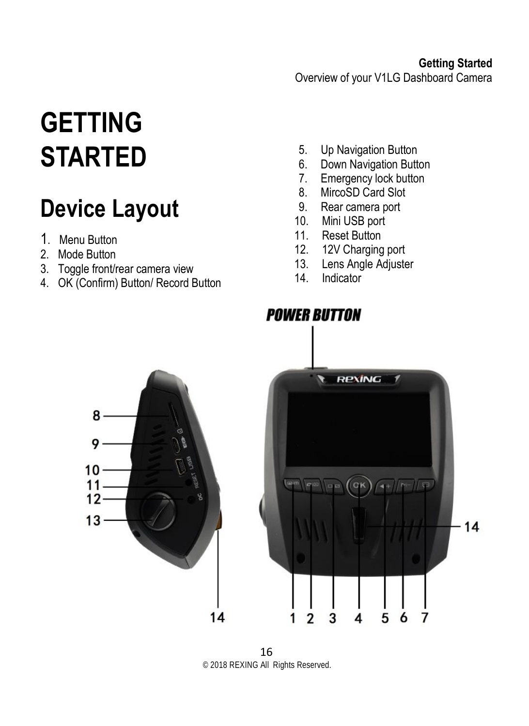# **GETTING STARTED**

### <span id="page-15-0"></span>**Device Layout**

- 1. Menu Button
- 2. Mode Button
- 3. Toggle front/rear camera view
- 4. OK (Confirm) Button/ Record Button
- 5. Up Navigation Button
- 6. Down Navigation Button<br>7. Emergency lock button
- 7. Emergency lock button<br>8. MircoSD Card Slot
- 8. MircoSD Card Slot<br>9. Rear camera port
- Rear camera port
- 10. Mini USB port<br>11 Reset Button
- 11. Reset Button<br>12. 12V Charging
- 12. 12V Charging port<br>13. Lens Angle Adjuste
- Lens Angle Adjuster
- 14. Indicator



16 © 2018 REXING All Rights Reserved.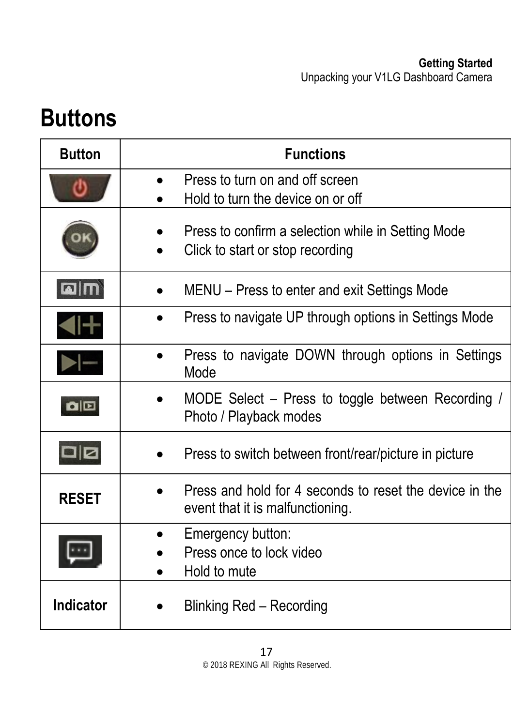### <span id="page-16-1"></span><span id="page-16-0"></span>**Buttons**

| <b>Button</b>                                                 | <b>Functions</b>                                                                            |  |
|---------------------------------------------------------------|---------------------------------------------------------------------------------------------|--|
|                                                               | Press to turn on and off screen<br>Hold to turn the device on or off                        |  |
|                                                               | Press to confirm a selection while in Setting Mode<br>Click to start or stop recording      |  |
|                                                               | MENU - Press to enter and exit Settings Mode                                                |  |
|                                                               | Press to navigate UP through options in Settings Mode                                       |  |
|                                                               | Press to navigate DOWN through options in Settings<br>Mode                                  |  |
| $\begin{array}{c} \hline \textbf{C} & \textbf{C} \end{array}$ | MODE Select - Press to toggle between Recording /<br>Photo / Playback modes                 |  |
|                                                               | Press to switch between front/rear/picture in picture                                       |  |
| <b>RESET</b>                                                  | Press and hold for 4 seconds to reset the device in the<br>event that it is malfunctioning. |  |
|                                                               | Emergency button:<br>Press once to lock video<br>Hold to mute                               |  |
| Indicator                                                     | Blinking Red - Recording                                                                    |  |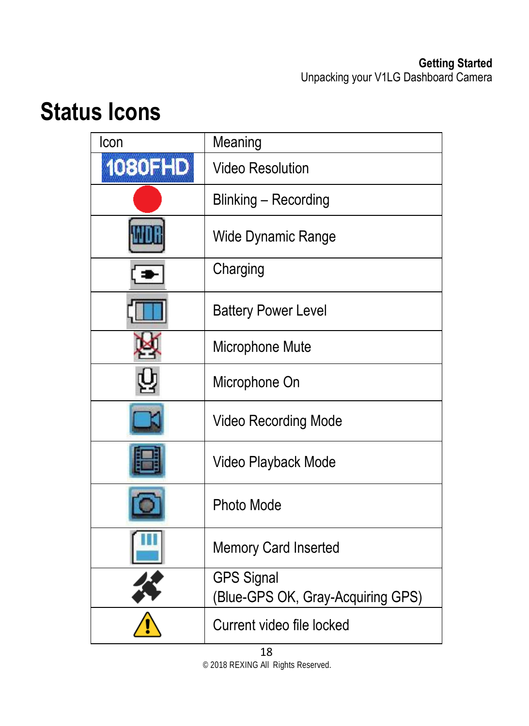### <span id="page-17-0"></span>**Status Icons**

| Icon           | Meaning                                                |
|----------------|--------------------------------------------------------|
| <b>1080FHD</b> | <b>Video Resolution</b>                                |
|                | Blinking - Recording                                   |
|                | Wide Dynamic Range                                     |
|                | Charging                                               |
|                | <b>Battery Power Level</b>                             |
|                | Microphone Mute                                        |
|                | Microphone On                                          |
|                | Video Recording Mode                                   |
|                | Video Playback Mode                                    |
|                | Photo Mode                                             |
|                | Memory Card Inserted                                   |
|                | <b>GPS Signal</b><br>(Blue-GPS OK, Gray-Acquiring GPS) |
|                | Current video file locked                              |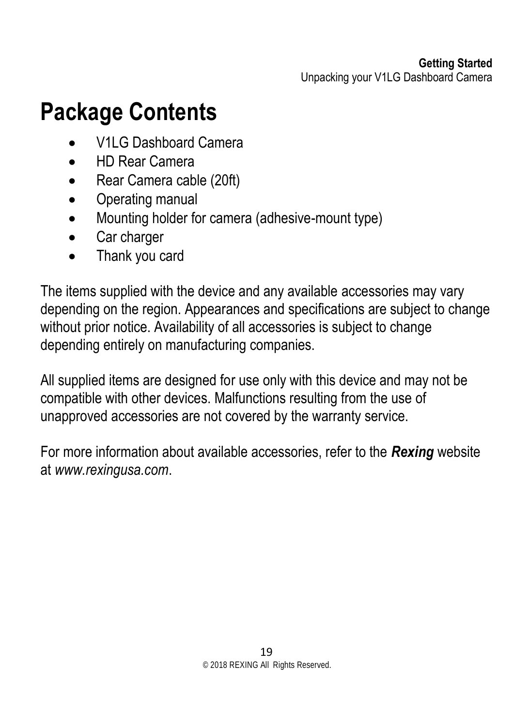### **Package Contents**

- V1LG Dashboard Camera
- HD Rear Camera
- Rear Camera cable (20ft)
- Operating manual
- Mounting holder for camera (adhesive-mount type)
- Car charger
- Thank you card

The items supplied with the device and any available accessories may vary depending on the region. Appearances and specifications are subject to change without prior notice. Availability of all accessories is subject to change depending entirely on manufacturing companies.

All supplied items are designed for use only with this device and may not be compatible with other devices. Malfunctions resulting from the use of unapproved accessories are not covered by the warranty service.

For more information about available accessories, refer to the *Rexing* website at *www.rexingusa.com*.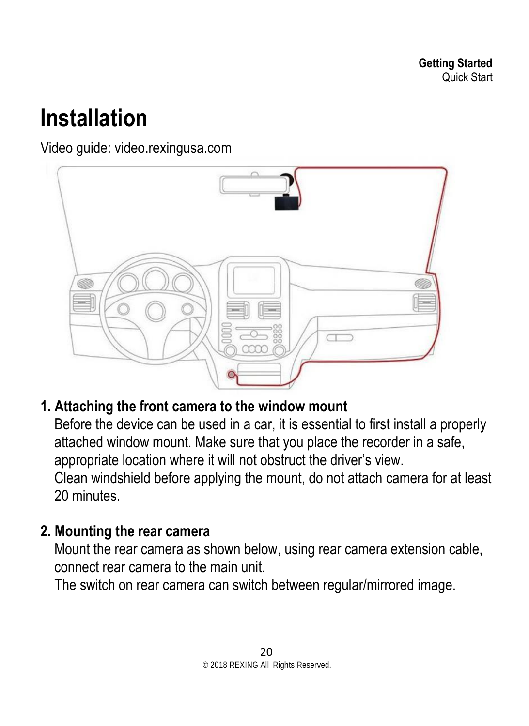### <span id="page-19-0"></span>**Installation**

Video guide: video.rexingusa.com



#### **1. Attaching the front camera to the window mount**

Before the device can be used in a car, it is essential to first install a properly attached window mount. Make sure that you place the recorder in a safe, appropriate location where it will not obstruct the driver's view. Clean windshield before applying the mount, do not attach camera for at least 20 minutes.

#### **2. Mounting the rear camera**

Mount the rear camera as shown below, using rear camera extension cable, connect rear camera to the main unit.

The switch on rear camera can switch between regular/mirrored image.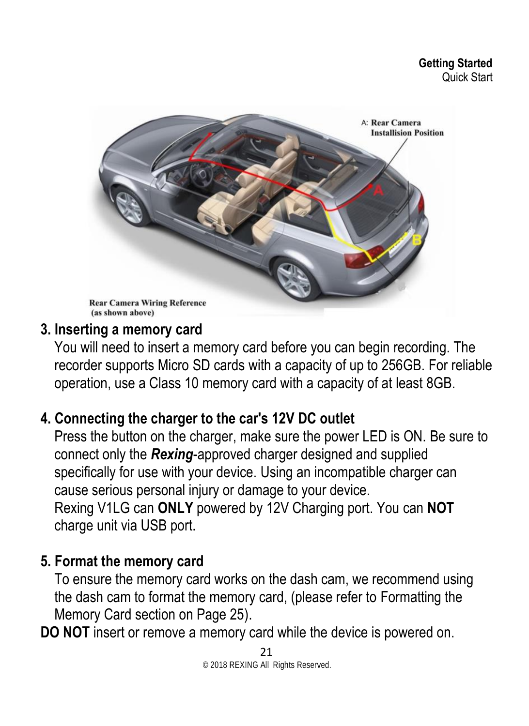<span id="page-20-0"></span>

#### **3. Inserting a memory card**

You will need to insert a memory card before you can begin recording. The recorder supports Micro SD cards with a capacity of up to 256GB. For reliable operation, use a Class 10 memory card with a capacity of at least 8GB.

#### **4. Connecting the charger to the car's 12V DC outlet**

Press the button on the charger, make sure the power LED is ON. Be sure to connect only the *Rexing*-approved charger designed and supplied specifically for use with your device. Using an incompatible charger can cause serious personal injury or damage to your device. Rexing V1LG can **ONLY** powered by 12V Charging port. You can **NOT** charge unit via USB port.

#### **5. Format the memory card**

To ensure the memory card works on the dash cam, we recommend using the dash cam to format the memory card, (please refer to Formatting the Memory Card section on Page 25).

**DO NOT** insert or remove a memory card while the device is powered on.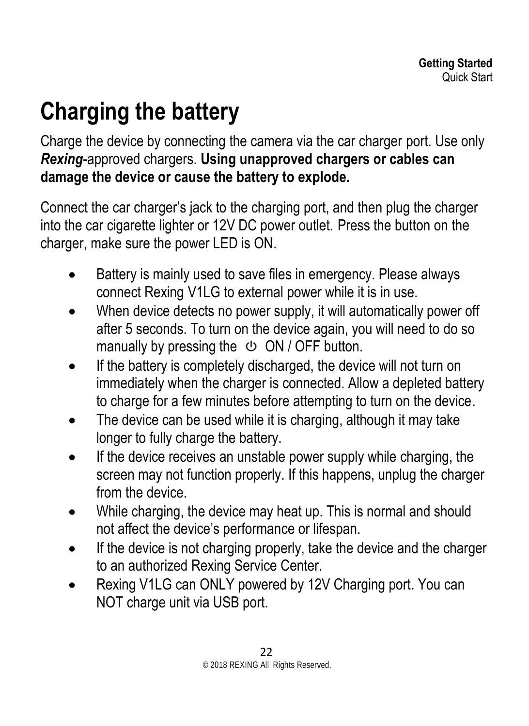# **Charging the battery**

Charge the device by connecting the camera via the car charger port. Use only *Rexing*-approved chargers. **Using unapproved chargers or cables can damage the device or cause the battery to explode.**

Connect the car charger's jack to the charging port, and then plug the charger into the car cigarette lighter or 12V DC power outlet. Press the button on the charger, make sure the power LED is ON.

- Battery is mainly used to save files in emergency. Please always connect Rexing V1LG to external power while it is in use.
- When device detects no power supply, it will automatically power off after 5 seconds. To turn on the device again, you will need to do so manually by pressing the  $\circledcirc$  ON / OFF button.
- If the battery is completely discharged, the device will not turn on immediately when the charger is connected. Allow a depleted battery to charge for a few minutes before attempting to turn on the device.
- The device can be used while it is charging, although it may take longer to fully charge the battery.
- If the device receives an unstable power supply while charging, the screen may not function properly. If this happens, unplug the charger from the device.
- While charging, the device may heat up. This is normal and should not affect the device's performance or lifespan.
- If the device is not charging properly, take the device and the charger to an authorized Rexing Service Center.
- Rexing V1LG can ONLY powered by 12V Charging port. You can NOT charge unit via USB port.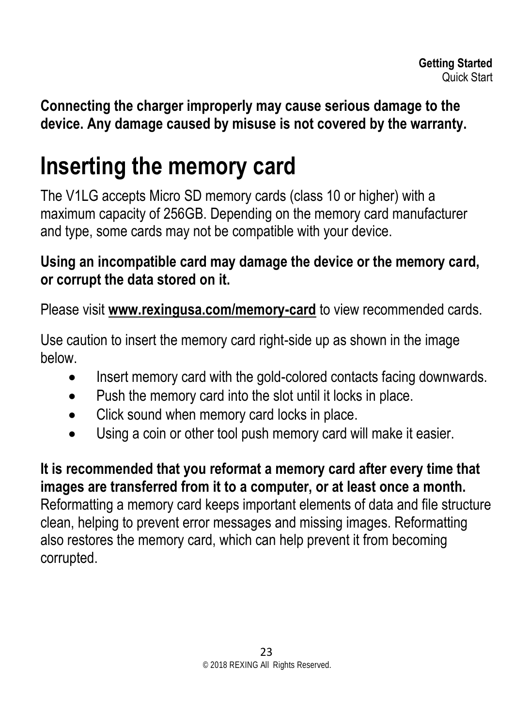**Connecting the charger improperly may cause serious damage to the device. Any damage caused by misuse is not covered by the warranty.**

### <span id="page-22-0"></span>**Inserting the memory card**

The V1LG accepts Micro SD memory cards (class 10 or higher) with a maximum capacity of 256GB. Depending on the memory card manufacturer and type, some cards may not be compatible with your device.

#### **Using an incompatible card may damage the device or the memory card, or corrupt the data stored on it.**

Please visit **[www.rexingusa.com/memory-card](http://www.rexingusa.com/memory-card)** to view recommended cards.

Use caution to insert the memory card right-side up as shown in the image below.

- Insert memory card with the gold-colored contacts facing downwards.
- Push the memory card into the slot until it locks in place.
- Click sound when memory card locks in place.
- Using a coin or other tool push memory card will make it easier.

**It is recommended that you reformat a memory card after every time that images are transferred from it to a computer, or at least once a month.** Reformatting a memory card keeps important elements of data and file structure clean, helping to prevent error messages and missing images. Reformatting also restores the memory card, which can help prevent it from becoming corrupted.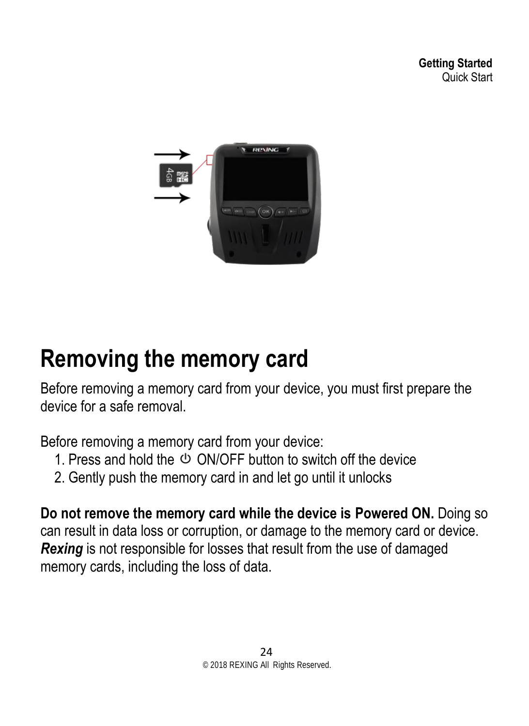<span id="page-23-1"></span>

### <span id="page-23-0"></span>**Removing the memory card**

Before removing a memory card from your device, you must first prepare the device for a safe removal.

Before removing a memory card from your device:

- 1. Press and hold the  $\Phi$  ON/OFF button to switch off the device
- 2. Gently push the memory card in and let go until it unlocks

**Do not remove the memory card while the device is Powered ON.** Doing so can result in data loss or corruption, or damage to the memory card or device. *Rexing* is not responsible for losses that result from the use of damaged memory cards, including the loss of data.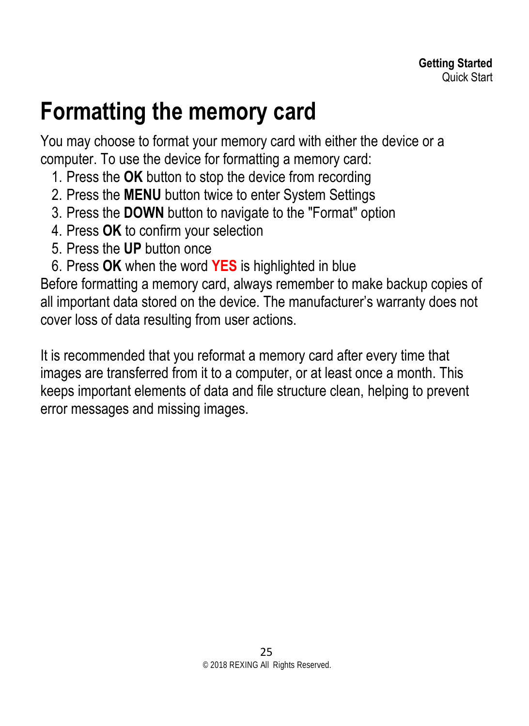### **Formatting the memory card**

You may choose to format your memory card with either the device or a computer. To use the device for formatting a memory card:

- 1. Press the **OK** button to stop the device from recording
- 2. Press the **MENU** button twice to enter System Settings
- 3. Press the **DOWN** button to navigate to the "Format" option
- 4. Press **OK** to confirm your selection
- 5. Press the **UP** button once
- 6. Press **OK** when the word **YES** is highlighted in blue

Before formatting a memory card, always remember to make backup copies of all important data stored on the device. The manufacturer's warranty does not cover loss of data resulting from user actions.

It is recommended that you reformat a memory card after every time that images are transferred from it to a computer, or at least once a month. This keeps important elements of data and file structure clean, helping to prevent error messages and missing images.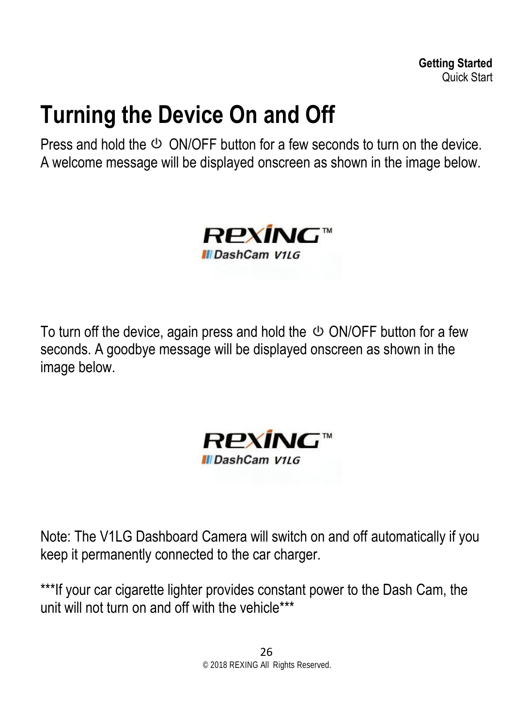### <span id="page-25-0"></span>**Turning the Device On and Off**

Press and hold the  $\Phi$  ON/OFF button for a few seconds to turn on the device. A welcome message will be displayed onscreen as shown in the image below.



To turn off the device, again press and hold the  $\circlearrowleft$  ON/OFF button for a few seconds. A goodbye message will be displayed onscreen as shown in the image below.



Note: The V1LG Dashboard Camera will switch on and off automatically if you keep it permanently connected to the car charger.

\*\*\*If your car cigarette lighter provides constant power to the Dash Cam, the unit will not turn on and off with the vehicle\*\*\*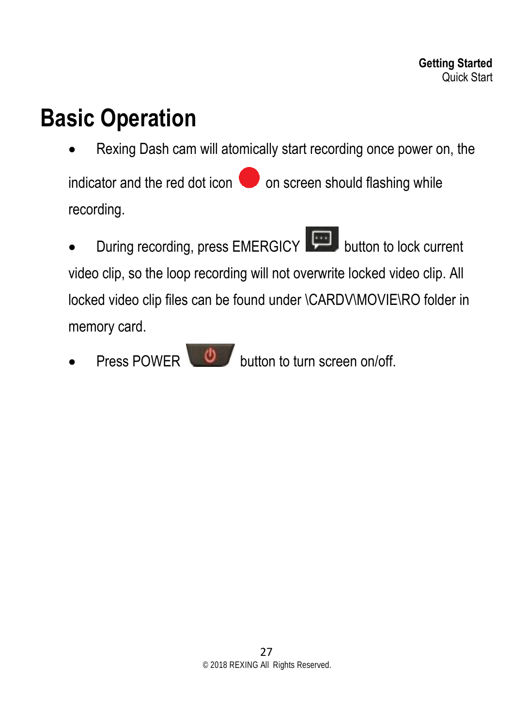### <span id="page-26-0"></span>**Basic Operation**

- Rexing Dash cam will atomically start recording once power on, the indicator and the red dot icon  $\bullet$  on screen should flashing while recording.
- During recording, press EMERGICY button to lock current video clip, so the loop recording will not overwrite locked video clip. All locked video clip files can be found under \CARDV\MOVIE\RO folder in memory card.
- **Press POWER**  $\bigcirc$  **button to turn screen on/off.**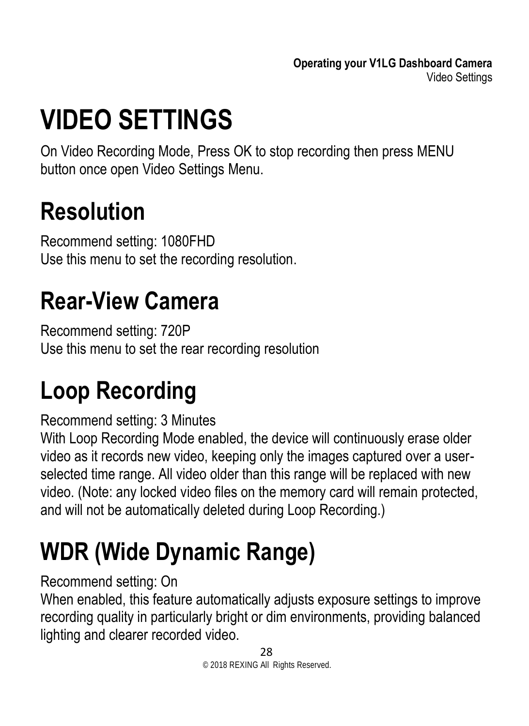# <span id="page-27-5"></span><span id="page-27-0"></span>**VIDEO SETTINGS**

On Video Recording Mode, Press OK to stop recording then press MENU button once open Video Settings Menu.

### <span id="page-27-1"></span>**Resolution**

Recommend setting: 1080FHD Use this menu to set the recording resolution.

# <span id="page-27-2"></span>**Rear-View Camera**

Recommend setting: 720P Use this menu to set the rear recording resolution

# <span id="page-27-3"></span>**Loop Recording**

#### Recommend setting: 3 Minutes

With Loop Recording Mode enabled, the device will continuously erase older video as it records new video, keeping only the images captured over a userselected time range. All video older than this range will be replaced with new video. (Note: any locked video files on the memory card will remain protected, and will not be automatically deleted during Loop Recording.)

# <span id="page-27-4"></span>**WDR (Wide Dynamic Range)**

#### Recommend setting: On

When enabled, this feature automatically adjusts exposure settings to improve recording quality in particularly bright or dim environments, providing balanced lighting and clearer recorded video.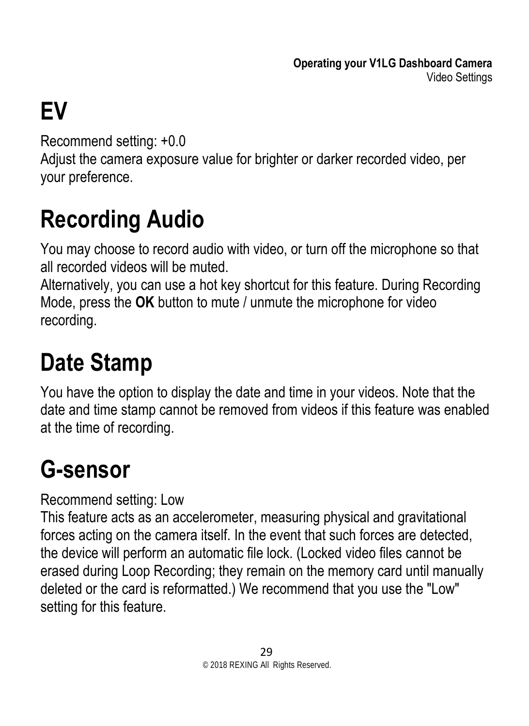# <span id="page-28-3"></span>**EV**

Recommend setting: +0.0

Adjust the camera exposure value for brighter or darker recorded video, per your preference.

# <span id="page-28-0"></span>**Recording Audio**

You may choose to record audio with video, or turn off the microphone so that all recorded videos will be muted.

Alternatively, you can use a hot key shortcut for this feature. During Recording Mode, press the **OK** button to mute / unmute the microphone for video recording.

# <span id="page-28-1"></span>**Date Stamp**

You have the option to display the date and time in your videos. Note that the date and time stamp cannot be removed from videos if this feature was enabled at the time of recording.

# <span id="page-28-2"></span>**G-sensor**

Recommend setting: Low

This feature acts as an accelerometer, measuring physical and gravitational forces acting on the camera itself. In the event that such forces are detected, the device will perform an automatic file lock. (Locked video files cannot be erased during Loop Recording; they remain on the memory card until manually deleted or the card is reformatted.) We recommend that you use the "Low" setting for this feature.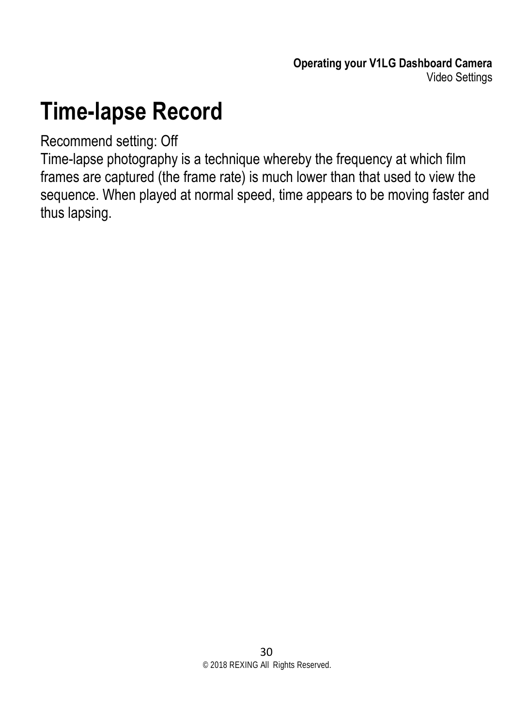### **Time-lapse Record**

#### Recommend setting: Off

Time-lapse photography is a technique whereby the frequency at which film frames are captured (the frame rate) is much lower than that used to view the sequence. When played at normal speed, time appears to be moving faster and thus lapsing.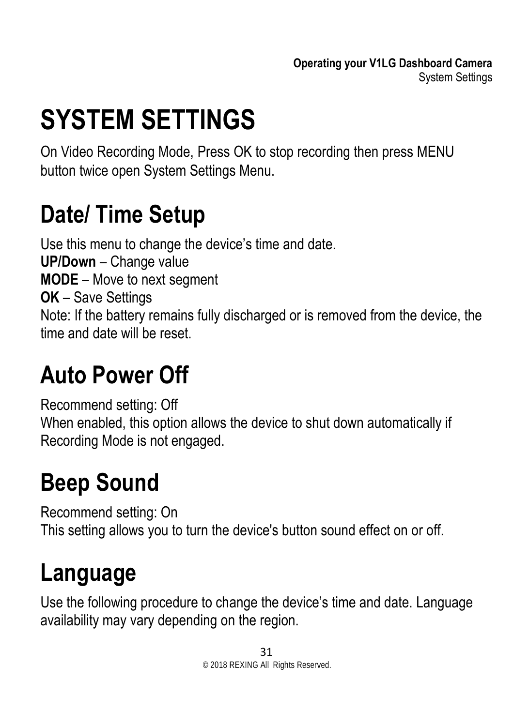# <span id="page-30-5"></span><span id="page-30-0"></span>**SYSTEM SETTINGS**

On Video Recording Mode, Press OK to stop recording then press MENU button twice open System Settings Menu.

### <span id="page-30-1"></span>**Date/ Time Setup**

Use this menu to change the device's time and date. **UP/Down** – Change value **MODE** – Move to next segment **OK** – Save Settings Note: If the battery remains fully discharged or is removed from the device, the time and date will be reset.

### <span id="page-30-2"></span>**Auto Power Off**

Recommend setting: Off When enabled, this option allows the device to shut down automatically if Recording Mode is not engaged.

# <span id="page-30-3"></span>**Beep Sound**

Recommend setting: On This setting allows you to turn the device's button sound effect on or off.

# <span id="page-30-4"></span>**Language**

Use the following procedure to change the device's time and date. Language availability may vary depending on the region.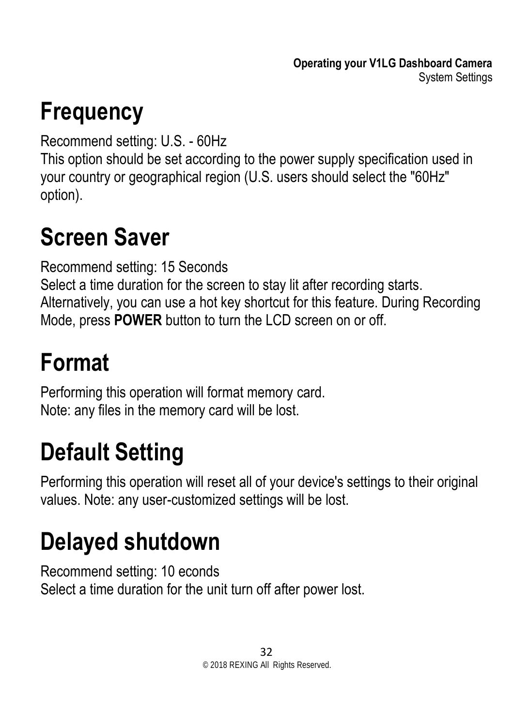# <span id="page-31-4"></span>**Frequency**

Recommend setting: U.S. - 60Hz

This option should be set according to the power supply specification used in your country or geographical region (U.S. users should select the "60Hz" option).

### <span id="page-31-0"></span>**Screen Saver**

Recommend setting: 15 Seconds Select a time duration for the screen to stay lit after recording starts. Alternatively, you can use a hot key shortcut for this feature. During Recording Mode, press **POWER** button to turn the LCD screen on or off.

# <span id="page-31-1"></span>**Format**

Performing this operation will format memory card. Note: any files in the memory card will be lost.

# <span id="page-31-2"></span>**Default Setting**

Performing this operation will reset all of your device's settings to their original values. Note: any user-customized settings will be lost.

# <span id="page-31-3"></span>**Delayed shutdown**

Recommend setting: 10 econds Select a time duration for the unit turn off after power lost.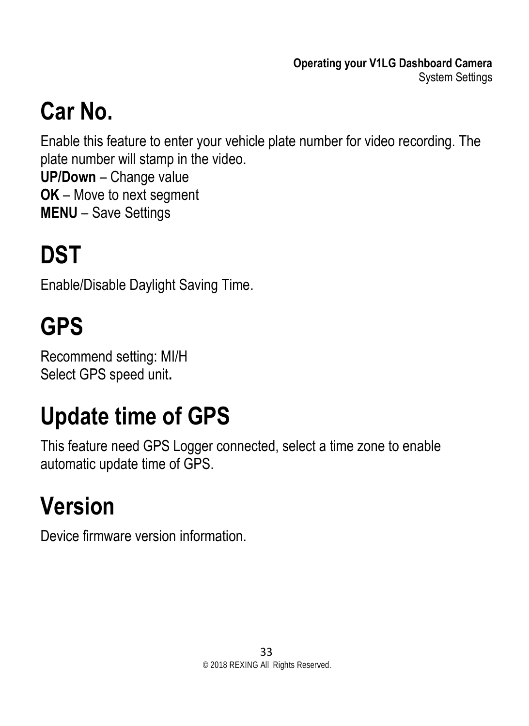# **Car No.**

Enable this feature to enter your vehicle plate number for video recording. The plate number will stamp in the video.

**UP/Down** – Change value **OK** – Move to next segment **MENU** – Save Settings

# <span id="page-32-0"></span>**DST**

Enable/Disable Daylight Saving Time.

# <span id="page-32-1"></span>**GPS**

Recommend setting: MI/H Select GPS speed unit**.**

# <span id="page-32-2"></span>**Update time of GPS**

This feature need GPS Logger connected, select a time zone to enable automatic update time of GPS.

# <span id="page-32-3"></span>**Version**

Device firmware version information.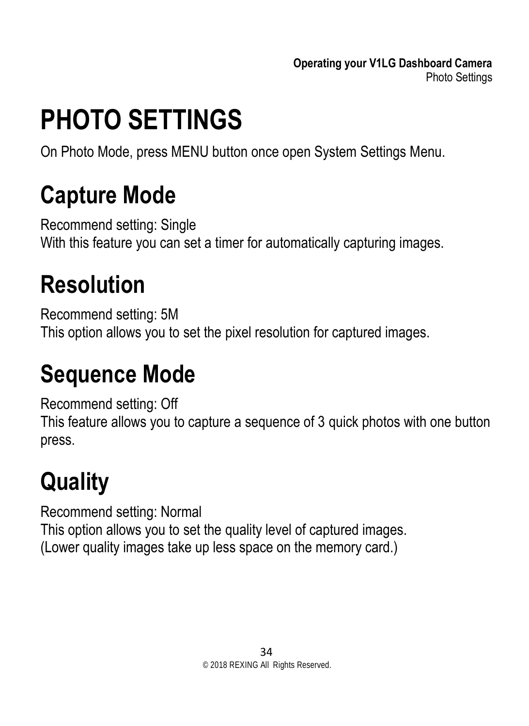**Operating your V1LG Dashboard Camera** Photo Settings

# <span id="page-33-0"></span>**PHOTO SETTINGS**

On Photo Mode, press MENU button once open System Settings Menu.

### <span id="page-33-1"></span>**Capture Mode**

Recommend setting: Single With this feature you can set a timer for automatically capturing images.

### <span id="page-33-2"></span>**Resolution**

Recommend setting: 5M This option allows you to set the pixel resolution for captured images.

### <span id="page-33-3"></span>**Sequence Mode**

Recommend setting: Off This feature allows you to capture a sequence of 3 quick photos with one button press.

# <span id="page-33-4"></span>**Quality**

Recommend setting: Normal This option allows you to set the quality level of captured images. (Lower quality images take up less space on the memory card.)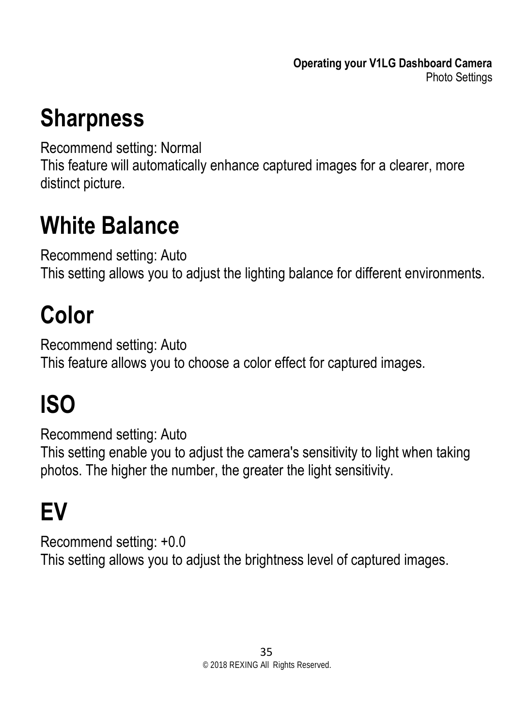### <span id="page-34-0"></span>**Sharpness**

Recommend setting: Normal

This feature will automatically enhance captured images for a clearer, more distinct picture.

### <span id="page-34-1"></span>**White Balance**

Recommend setting: Auto This setting allows you to adjust the lighting balance for different environments.

# <span id="page-34-2"></span>**Color**

Recommend setting: Auto This feature allows you to choose a color effect for captured images.

# <span id="page-34-3"></span>**ISO**

Recommend setting: Auto This setting enable you to adjust the camera's sensitivity to light when taking photos. The higher the number, the greater the light sensitivity.

# <span id="page-34-4"></span>**EV**

Recommend setting: +0.0 This setting allows you to adjust the brightness level of captured images.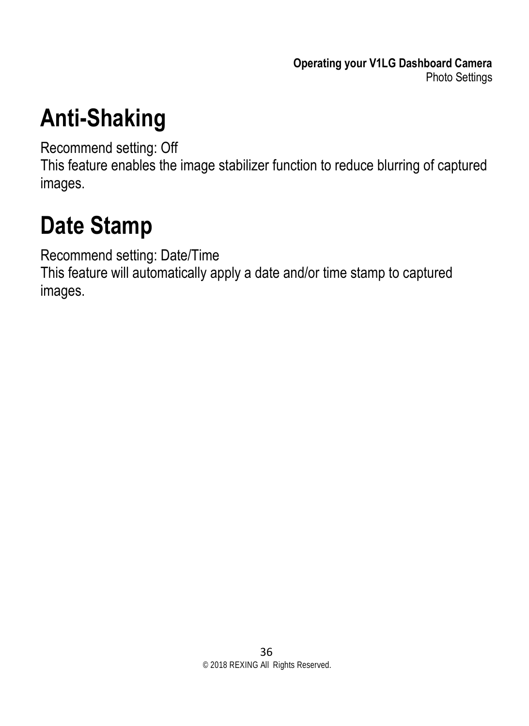**Operating your V1LG Dashboard Camera** Photo Settings

### <span id="page-35-0"></span>**Anti-Shaking**

Recommend setting: Off

This feature enables the image stabilizer function to reduce blurring of captured images.

### <span id="page-35-1"></span>**Date Stamp**

Recommend setting: Date/Time

This feature will automatically apply a date and/or time stamp to captured images.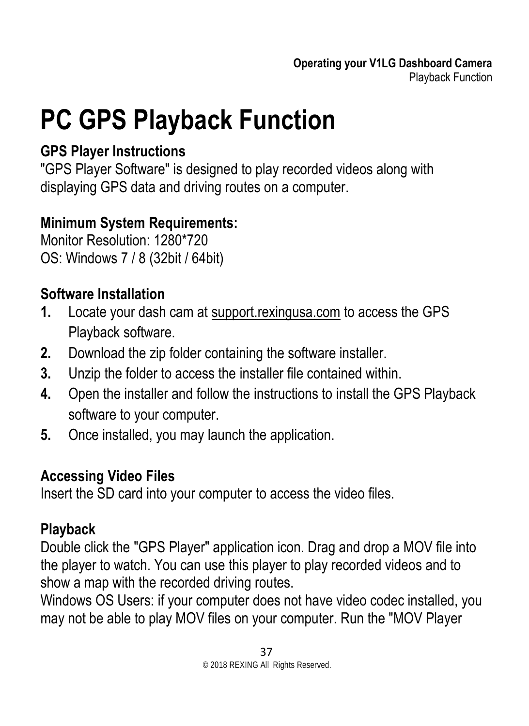# <span id="page-36-0"></span>**PC GPS Playback Function**

#### **GPS Player Instructions**

"GPS Player Software" is designed to play recorded videos along with displaying GPS data and driving routes on a computer.

#### **Minimum System Requirements:**

Monitor Resolution: 1280\*720 OS: Windows 7 / 8 (32bit / 64bit)

#### **Software Installation**

- **1.** Locate your dash cam at support.rexingusa.com to access the GPS Playback software.
- **2.** Download the zip folder containing the software installer.
- **3.** Unzip the folder to access the installer file contained within.
- **4.** Open the installer and follow the instructions to install the GPS Playback software to your computer.
- **5.** Once installed, you may launch the application.

#### **Accessing Video Files**

Insert the SD card into your computer to access the video files.

#### **Playback**

Double click the "GPS Player" application icon. Drag and drop a MOV file into the player to watch. You can use this player to play recorded videos and to show a map with the recorded driving routes.

Windows OS Users: if your computer does not have video codec installed, you may not be able to play MOV files on your computer. Run the "MOV Player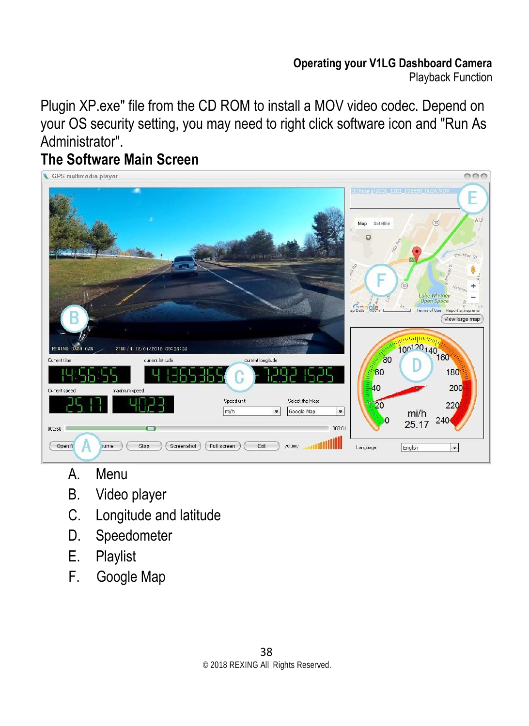#### **Operating your V1LG Dashboard Camera** Playback Function

Plugin XP.exe" file from the CD ROM to install a MOV video codec. Depend on your OS security setting, you may need to right click software icon and "Run As Administrator".

#### **The Software Main Screen**



- A. Menu
- B. Video player
- C. Longitude and latitude
- D. Speedometer
- E. Playlist
- F. Google Map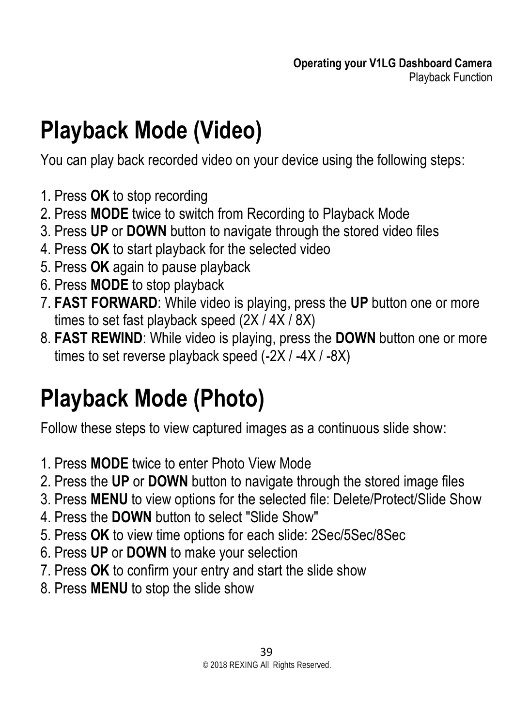# <span id="page-38-2"></span><span id="page-38-0"></span>**Playback Mode (Video)**

You can play back recorded video on your device using the following steps:

- 1. Press **OK** to stop recording
- 2. Press **MODE** twice to switch from Recording to Playback Mode
- 3. Press **UP** or **DOWN** button to navigate through the stored video files
- 4. Press **OK** to start playback for the selected video
- 5. Press **OK** again to pause playback
- 6. Press **MODE** to stop playback
- 7. **FAST FORWARD**: While video is playing, press the **UP** button one or more times to set fast playback speed (2X / 4X / 8X)
- 8. **FAST REWIND**: While video is playing, press the **DOWN** button one or more times to set reverse playback speed (-2X / -4X / -8X)

### <span id="page-38-1"></span>**Playback Mode (Photo)**

Follow these steps to view captured images as a continuous slide show:

- 1. Press **MODE** twice to enter Photo View Mode
- 2. Press the **UP** or **DOWN** button to navigate through the stored image files
- 3. Press **MENU** to view options for the selected file: Delete/Protect/Slide Show
- 4. Press the **DOWN** button to select "Slide Show"
- 5. Press **OK** to view time options for each slide: 2Sec/5Sec/8Sec
- 6. Press **UP** or **DOWN** to make your selection
- 7. Press **OK** to confirm your entry and start the slide show
- 8. Press **MENU** to stop the slide show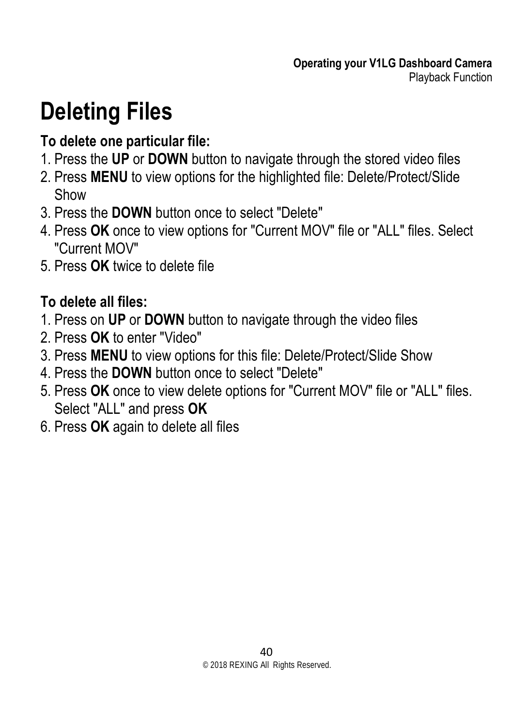### **Deleting Files**

#### **To delete one particular file:**

- 1. Press the **UP** or **DOWN** button to navigate through the stored video files
- 2. Press **MENU** to view options for the highlighted file: Delete/Protect/Slide Show
- 3. Press the **DOWN** button once to select "Delete"
- 4. Press **OK** once to view options for "Current MOV" file or "ALL" files. Select "Current MOV"
- 5. Press **OK** twice to delete file

#### **To delete all files:**

- 1. Press on **UP** or **DOWN** button to navigate through the video files
- 2. Press **OK** to enter "Video"
- 3. Press **MENU** to view options for this file: Delete/Protect/Slide Show
- 4. Press the **DOWN** button once to select "Delete"
- 5. Press **OK** once to view delete options for "Current MOV" file or "ALL" files. Select "ALL" and press **OK**
- 6. Press **OK** again to delete all files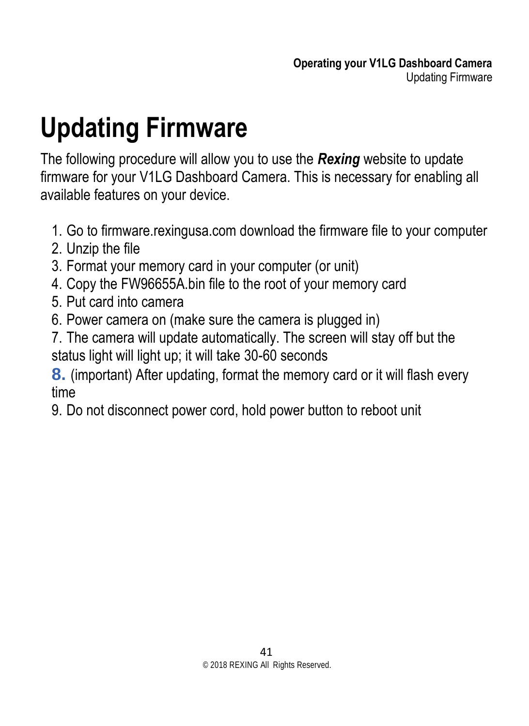# <span id="page-40-0"></span>**Updating Firmware**

The following procedure will allow you to use the *Rexing* website to update firmware for your V1LG Dashboard Camera. This is necessary for enabling all available features on your device.

- 1. Go to firmware.rexingusa.com download the firmware file to your computer
- 2. Unzip the file
- 3. Format your memory card in your computer (or unit)
- 4. Copy the FW96655A.bin file to the root of your memory card
- 5. Put card into camera
- 6. Power camera on (make sure the camera is plugged in)
- 7. The camera will update automatically. The screen will stay off but the status light will light up; it will take 30-60 seconds

**8.** (important) After updating, format the memory card or it will flash every time

9. Do not disconnect power cord, hold power button to reboot unit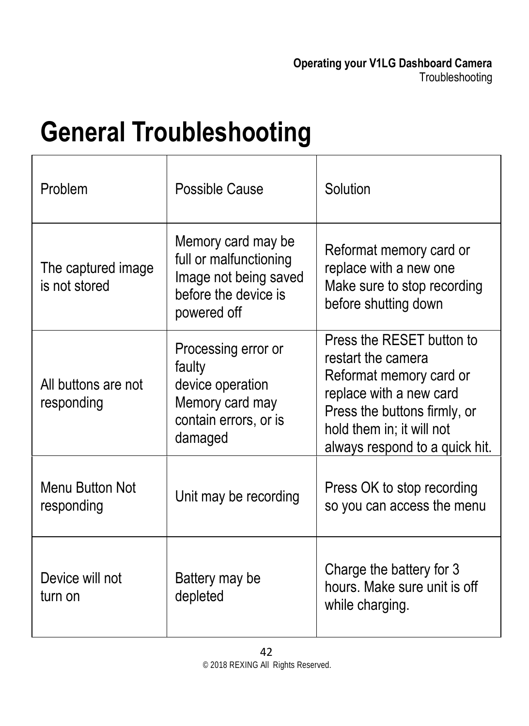# <span id="page-41-0"></span>**General Troubleshooting**

| Problem                             | Possible Cause                                                                                               | Solution                                                                                                                                                                                             |
|-------------------------------------|--------------------------------------------------------------------------------------------------------------|------------------------------------------------------------------------------------------------------------------------------------------------------------------------------------------------------|
| The captured image<br>is not stored | Memory card may be<br>full or malfunctioning<br>Image not being saved<br>before the device is<br>powered off | Reformat memory card or<br>replace with a new one<br>Make sure to stop recording<br>before shutting down                                                                                             |
| All buttons are not<br>responding   | Processing error or<br>faulty<br>device operation<br>Memory card may<br>contain errors, or is<br>damaged     | Press the RESET button to<br>restart the camera<br>Reformat memory card or<br>replace with a new card<br>Press the buttons firmly, or<br>hold them in; it will not<br>always respond to a quick hit. |
| Menu Button Not<br>responding       | Unit may be recording                                                                                        | Press OK to stop recording<br>so you can access the menu                                                                                                                                             |
| Device will not<br>turn on          | Battery may be<br>depleted                                                                                   | Charge the battery for 3<br>hours. Make sure unit is off<br>while charging.                                                                                                                          |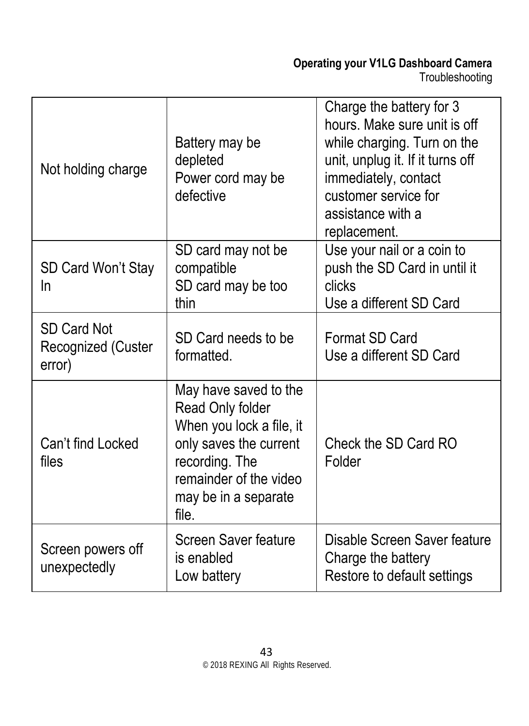#### **Operating your V1LG Dashboard Camera** Troubleshooting

| Not holding charge                          | Battery may be<br>depleted<br>Power cord may be<br>defective                                                                                                                 | Charge the battery for 3<br>hours. Make sure unit is off<br>while charging. Turn on the<br>unit, unplug it. If it turns off<br>immediately, contact<br>customer service for<br>assistance with a<br>replacement. |
|---------------------------------------------|------------------------------------------------------------------------------------------------------------------------------------------------------------------------------|------------------------------------------------------------------------------------------------------------------------------------------------------------------------------------------------------------------|
| SD Card Won't Stay<br>In                    | SD card may not be<br>compatible<br>SD card may be too<br>thin                                                                                                               | Use your nail or a coin to<br>push the SD Card in until it<br>clicks<br>Use a different SD Card                                                                                                                  |
| SD Card Not<br>Recognized (Custer<br>error) | SD Card needs to be<br>formatted.                                                                                                                                            | Format SD Card<br>Use a different SD Card                                                                                                                                                                        |
| Can't find Locked<br>files                  | May have saved to the<br>Read Only folder<br>When you lock a file, it<br>only saves the current<br>recording. The<br>remainder of the video<br>may be in a separate<br>file. | Check the SD Card RO<br>Folder                                                                                                                                                                                   |
| Screen powers off<br>unexpectedly           | Screen Saver feature<br>is enabled<br>Low battery                                                                                                                            | Disable Screen Saver feature<br>Charge the battery<br>Restore to default settings                                                                                                                                |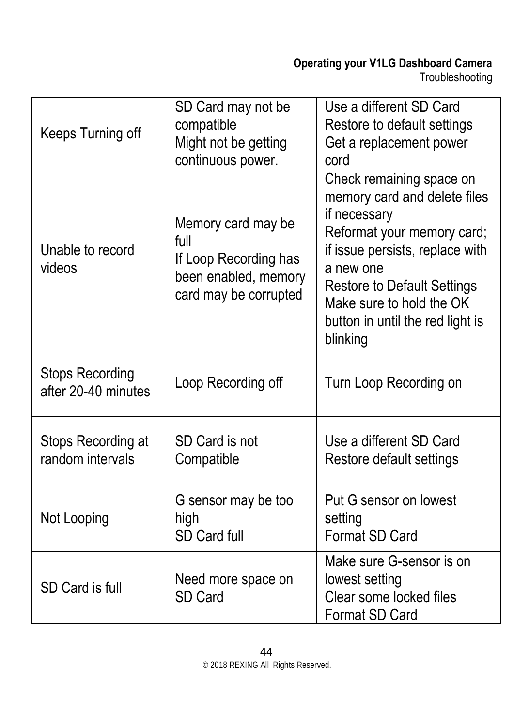| Keeps Turning off                             | SD Card may not be<br>compatible<br>Might not be getting<br>continuous power.                        | Use a different SD Card<br>Restore to default settings<br>Get a replacement power<br>cord                                                                                                                                                                                |
|-----------------------------------------------|------------------------------------------------------------------------------------------------------|--------------------------------------------------------------------------------------------------------------------------------------------------------------------------------------------------------------------------------------------------------------------------|
| Unable to record<br>videos                    | Memory card may be<br>full<br>If Loop Recording has<br>been enabled, memory<br>card may be corrupted | Check remaining space on<br>memory card and delete files<br>if necessary<br>Reformat your memory card;<br>if issue persists, replace with<br>a new one<br><b>Restore to Default Settings</b><br>Make sure to hold the OK<br>button in until the red light is<br>blinking |
| <b>Stops Recording</b><br>after 20-40 minutes | Loop Recording off                                                                                   | Turn Loop Recording on                                                                                                                                                                                                                                                   |
| Stops Recording at<br>random intervals        | SD Card is not<br>Compatible                                                                         | Use a different SD Card<br>Restore default settings                                                                                                                                                                                                                      |
| Not Looping                                   | G sensor may be too<br>high<br>SD Card full                                                          | Put G sensor on lowest<br>setting<br>Format SD Card                                                                                                                                                                                                                      |
| SD Card is full                               | Need more space on<br>SD Card                                                                        | Make sure G-sensor is on<br>lowest setting<br>Clear some locked files<br>Format SD Card                                                                                                                                                                                  |